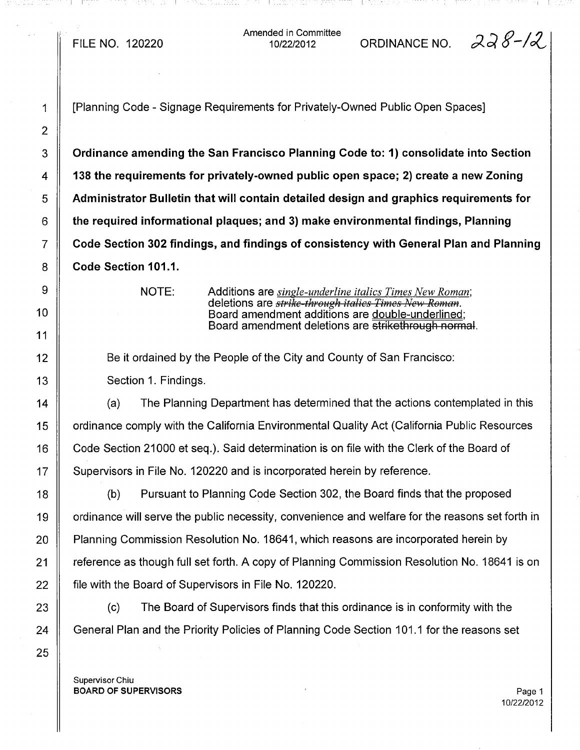Amended in Committee ded in Committee  $\overline{0}$ ORDINANCE NO.  $22/2012$ 

1 [Planning Code - Signage Requirements for Privately-Owned Public Open Spaces]  $3 \parallel$  Ordinance amending the San Francisco Planning Code to: 1) consolidate into Section 4  $\parallel$  138 the requirements for privately-owned public open space; 2) create a new Zoning 5 Administrator Bulletin that will contain detailed design and graphics requirements for  $6 \parallel$  the required informational plaques; and 3) make environmental findings, Planning 7 Code Section 302 findings, and findings of consistency with General Plan and Planning 8 **Code Section 101.1.** 

NOTE: Additions are *single-underline italics Times New Roman;* deletions are *strike through italics Times }I/e)'; Roman.* Board amendment additions are double-underlined; Board amendment deletions are strikethrough normal.

Be it ordained by the People of the City and County of San Francisco: Section 1. Findings.

The Planning Department has determined that the actions contemplated in this 14 (a) 15 | ordinance comply with the California Environmental Quality Act (California Public Resources 16 | Code Section 21000 et seq.). Said determination is on file with the Clerk of the Board of 17 | Supervisors in File No. 120220 and is incorporated herein by reference.

18 (b) Pursuant to Planning Code Section 302, the Board finds that the proposed 19  $\parallel$  ordinance will serve the public necessity, convenience and welfare for the reasons set forth in 20 | Planning Commission Resolution No. 18641, which reasons are incorporated herein by 21 The reference as though full set forth. A copy of Planning Commission Resolution No. 18641 is on 22 **fillum** file with the Board of Supervisors in File No. 120220.

23 (c) The Board of Supervisors finds that this ordinance is in conformity with the 24 General Plan and the Priority Policies of Planning Code Section 101.1 for the reasons set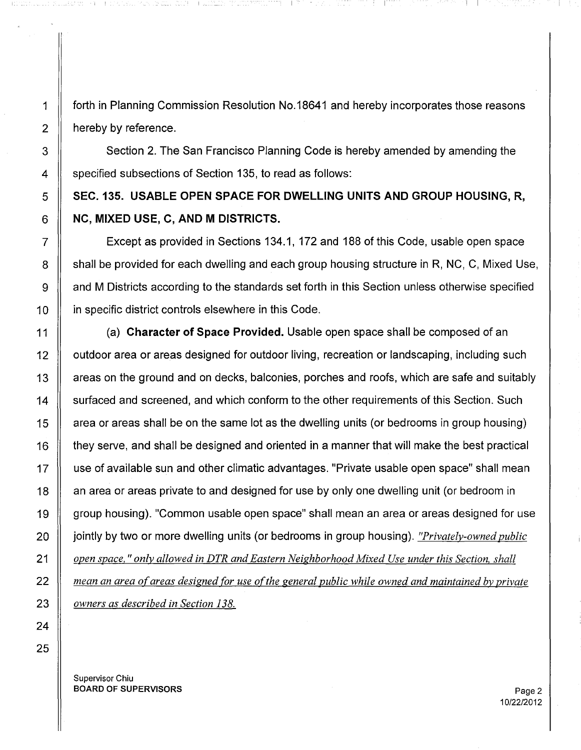1 | forth in Planning Commission Resolution No.18641 and hereby incorporates those reasons  $2 \parallel$  hereby by reference.

3 Section 2. The San Francisco Planning Code is hereby amended by amending the 4 Specified subsections of Section 135, to read as follows:

## $5 \parallel$  SEC. 135. USABLE OPEN SPACE FOR DWELLING UNITS AND GROUP HOUSING, R,  $6 \parallel NC$ , MIXED USE, C, AND M DISTRICTS.

7 Except as provided in Sections 134.1, 172 and 188 of this Code, usable open space  $8 \parallel$  shall be provided for each dwelling and each group housing structure in R, NC, C, Mixed Use, 9 A and M Districts according to the standards set forth in this Section unless otherwise specified 10 **igns** in specific district controls elsewhere in this Code.

11  $\parallel$  (a) Character of Space Provided. Usable open space shall be composed of an 12 | outdoor area or areas designed for outdoor living, recreation or landscaping, including such 13 | areas on the ground and on decks, balconies, porches and roofs, which are safe and suitably 14 Surfaced and screened, and which conform to the other requirements of this Section. Such 15  $\parallel$  area or areas shall be on the same lot as the dwelling units (or bedrooms in group housing) 16 they serve, and shall be designed and oriented in a manner that will make the best practical 17 | use of available sun and other climatic advantages. "Private usable open space" shall mean 18 || an area or areas private to and designed for use by only one dwelling unit (or bedroom in 19 group housing). "Common usable open space" shall mean an area or areas designed for use 20 **jointly by two or more dwelling units (or bedrooms in group housing)**. *"Privately-owned public 21 open space.* " *only allowed in DTR and Eastern Neighborhood Mixed Use under this Section. shall 22 mean an area o(areas designed for use ofthe general public while owned and maintained by private 23 owners as described in Section 138.*

Supervisor Chiu BOARD OF SUPERVISORS And the state of the state of the state of the state of the state of the state of the state of the state of the state of the state of the state of the state of the state of the state of the state of th

10/22/2012

I I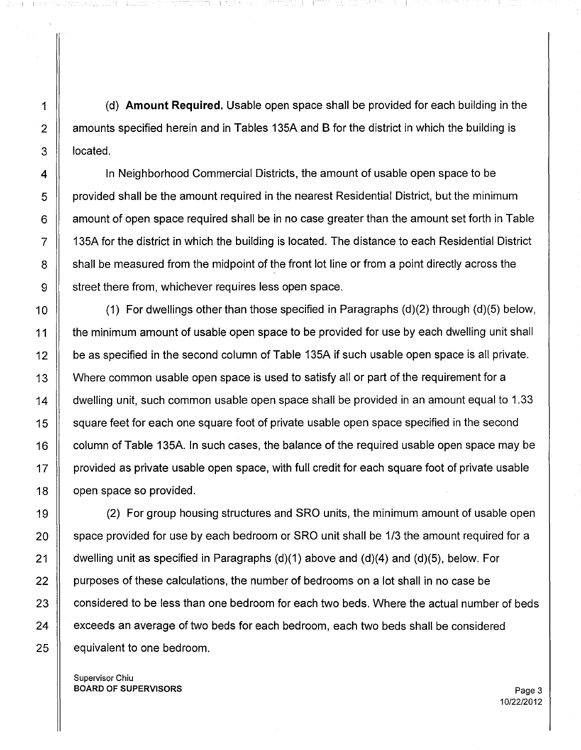i I

1 (d) **Amount Required.** Usable open space shall be provided for each building in the 2 | amounts specified herein and in Tables 135A and B for the district in which the building is 3 **l** located.

4 | In Neighborhood Commercial Districts, the amount of usable open space to be  $5 \parallel$  provided shall be the amount required in the nearest Residential District, but the minimum  $6 \parallel$  amount of open space required shall be in no case greater than the amount set forth in Table  $7 \parallel$  135A for the district in which the building is located. The distance to each Residential District 8 Subset all be measured from the midpoint of the front lot line or from a point directly across the 9 Street there from, whichever requires less open space.

10  $\parallel$  (1) For dwellings other than those specified in Paragraphs (d)(2) through (d)(5) below, 11 | the minimum amount of usable open space to be provided for use by each dwelling unit shall 12 **be as specified in the second column of Table 135A if such usable open space is all private.** 13 | Where common usable open space is used to satisfy all or part of the requirement for a 14 dwelling unit, such common usable open space shall be provided in an amount equal to 1.33 15 Square feet for each one square foot of private usable open space specified in the second 16  $\parallel$  column of Table 135A. In such cases, the balance of the required usable open space may be 17 | provided as private usable open space, with full credit for each square foot of private usable 18 **J** open space so provided.

 (2) For group housing structures and SRO units, the minimum amount of usable open **Space provided for use by each bedroom or SRO unit shall be 1/3 the amount required for a**  $\parallel$  dwelling unit as specified in Paragraphs (d)(1) above and (d)(4) and (d)(5), below. For  $\parallel$  purposes of these calculations, the number of bedrooms on a lot shall in no case be  $\parallel$  considered to be less than one bedroom for each two beds. Where the actual number of beds **exceeds an average of two beds for each bedroom**, each two beds shall be considered | equivalent to one bedroom.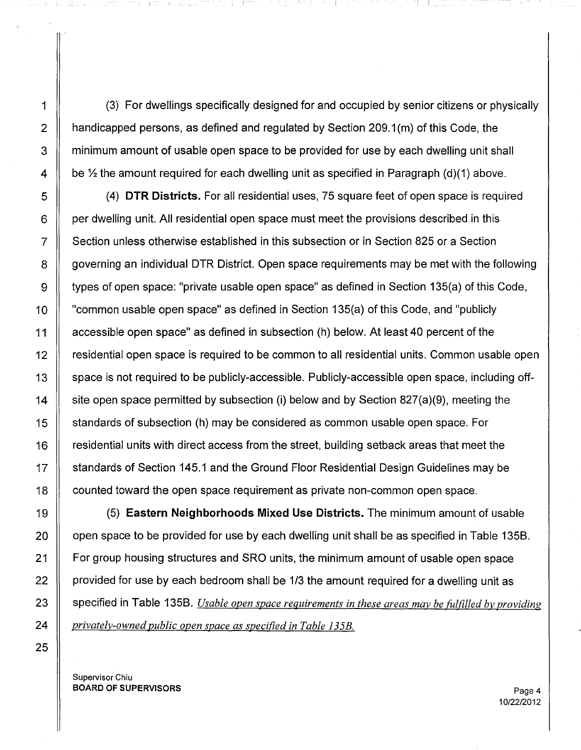1 (3) For dwellings specifically designed for and occupied by senior citizens or physically 2  $\parallel$  handicapped persons, as defined and regulated by Section 209.1 (m) of this Code, the 3 T minimum amount of usable open space to be provided for use by each dwelling unit shall 4 be  $\frac{1}{2}$  the amount required for each dwelling unit as specified in Paragraph (d)(1) above.

 (4) **DTR Districts.** For all residential uses, 75 square feet of open space is required  $6 \parallel$  per dwelling unit. All residential open space must meet the provisions described in this Section unless otherwise established in this subsection or in Section 825 or a Section 8 Geoverning an individual DTR District. Open space requirements may be met with the following  $\parallel$  types of open space: "private usable open space" as defined in Section 135(a) of this Code, "common usable open space" as defined in Section 135(a) of this Code, and "publicly 11 Accessible open space" as defined in subsection (h) below. At least 40 percent of the residential open space is required to be common to all residential units. Common usable open 13 Space is not required to be publicly-accessible. Publicly-accessible open space, including off- $\parallel$  site open space permitted by subsection (i) below and by Section 827(a)(9), meeting the standards of subsection (h) may be considered as common usable open space. For **F** residential units with direct access from the street, building setback areas that meet the 17 Standards of Section 145.1 and the Ground Floor Residential Design Guidelines may be counted toward the open space requirement as private non-common open space.

 (5) **Eastern Neighborhoods Mixed Use Districts.** The minimum amount of usable  $\parallel$  open space to be provided for use by each dwelling unit shall be as specified in Table 135B. **For group housing structures and SRO** units, the minimum amount of usable open space  $\parallel$  provided for use by each bedroom shall be 1/3 the amount required for a dwelling unit as specified in Table 1358. *Usable open space requirements in these areas may be fulfilled by providing privately-owned public open space as specified in Table 135B.*

Supervisor Chiu BOARD OF SUPERVISORS **Page 4** 

25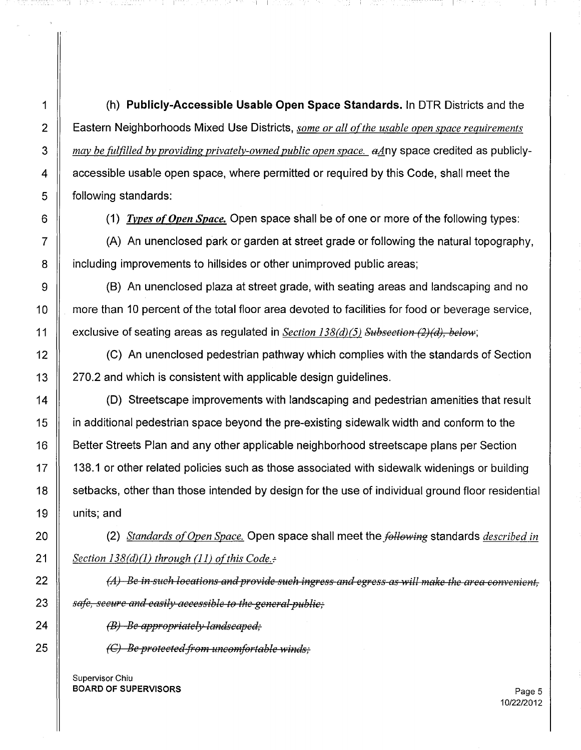(h) **Publicly-Accessible Usable Open Space Standards.** In DTR Districts and the Eastern Neighborhoods Mixed Use Districts, *some or all ofthe usable open space requirements may be fulfilled by providing privately-owned public open space.* a4.ny space credited as publicly-4 A ccessible usable open space, where permitted or required by this Code, shall meet the **following standards:** 

I I

nya mener

(1) *Types orOpen Space.* Open space shall be ofone or more of the following types:

 $7 \parallel$  (A) An unenclosed park or garden at street grade or following the natural topography, **ignolehologie including improvements to hillsides or other unimproved public areas;** 

 $\parallel$  (B) An unenclosed plaza at street grade, with seating areas and landscaping and no **more than 10 percent of the total floor area devoted to facilities for food or beverage service,** 11 cxclusive of seating areas as regulated in *Section 138(d)(5) Subsection (2)(d), below*;

 (C) An unenclosed pedestrian pathway which complies with the standards of Section | 270.2 and which is consistent with applicable design guidelines.

 (D) Streetscape improvements with landscaping and pedestrian amenities that result in additional pedestrian space beyond the pre-existing sidewalk width and conform to the **Better Streets Plan and any other applicable neighborhood streetscape plans per Section** 17 || 138.1 or other related policies such as those associated with sidewalk widenings or building 18 | setbacks, other than those intended by design for the use of individual ground floor residential units; and

 $\parallel$  (2) *Standards of Open Space.* Open space shall meet the *following* standards *described in Section* 138*Cd)* (1) *through* (11) *ofthis Code.-:-*

 ~4) *Be in such locations and provide such ingress and egress as will make the area con"Venient, safe, secure and easily accessible to the general public;* 

**(B)** *Be* appropriately landscaped;

 $\parallel$  *(C) Be protected-from uncomfortable winds;*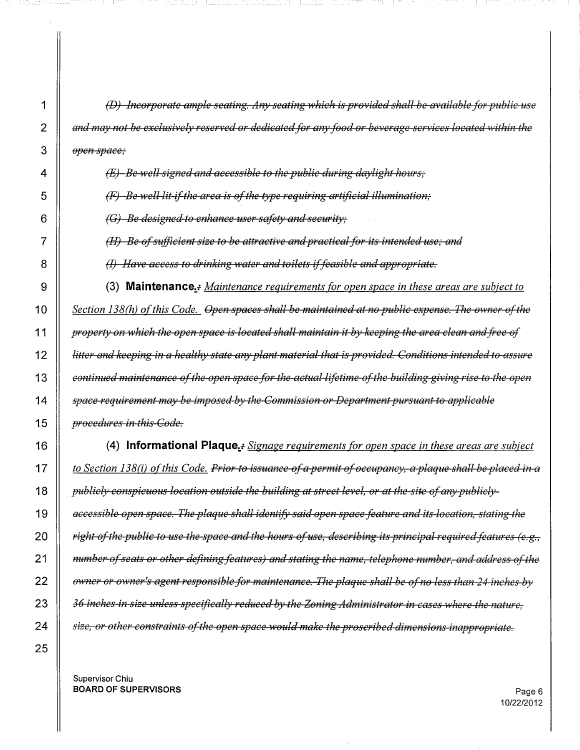*(D) Incorporate ample seating. Any seating which is provided shan be available for public use and may not be exdusi'.'ely reserved or dedicated/or any food or beverage serrices located 'within the open space;*

*(E) Be wen signed and accessible to the public during daylight hours,'*

 $\parallel$  *(F) -Be well-lit-if-the area is of the type requiring artificial illumination;* 

*(G) Be designed to enhance user safety and security,'*

1\_-

*(H) Be e./s'blfficient size to be attracti're andpractical.for its intended use; and*

(1) *Ha're access to drinking 'water and toilets* if*feasible and appropriate.*

 (3) **Maintenance:....** *Maintenance requirements for open space in these areas are subject to Section 138(h) of this Code. Open spaces shall be maintained at no public expense. The owner of the*  $\parallel$  property on which the open space is located shall maintain it by keeping the area clean and free of 12 | litter and keeping in a healthy state any plant material that is provided. Conditions intended to assure *continued maintenance afthe open space for the actual lifttime o./the building giving rise to the open space requirement may be imposed by the Commission or Departmentpursuant to applicable procedures in this Code.*

 **(4) Informational Plaque.:** *Signage requirements for open space in these areas are subject*   $\parallel$  to Section 138(i) of this Code. Prior to issuance of a permit of occupancy, a plaque shall be placed in a *publicly conspicuous location outside the builfiing at street level, or at the site a/any publicly* 19 | accessible open space. The plaque shall identify said open space feature and its-location, stating the **Fight of the public to use the space and the hours of use, describing its principal required features (e.g.,**  *number afseats or other defining features) and stating the name, telephone number, and address afthe DlFfler or owner's agent responsible.for maintenance. The plaque shan be o./no less than* 24 *inches by* 36 *inches in size unless specifically reduced by the Zoning Administrator in cases where tliC nature, size, or other constraints a./the open space would make the proscribed dimensions inappropriate.*

Supervisor Chiu **BOARD OF SUPERVISORS** Page 6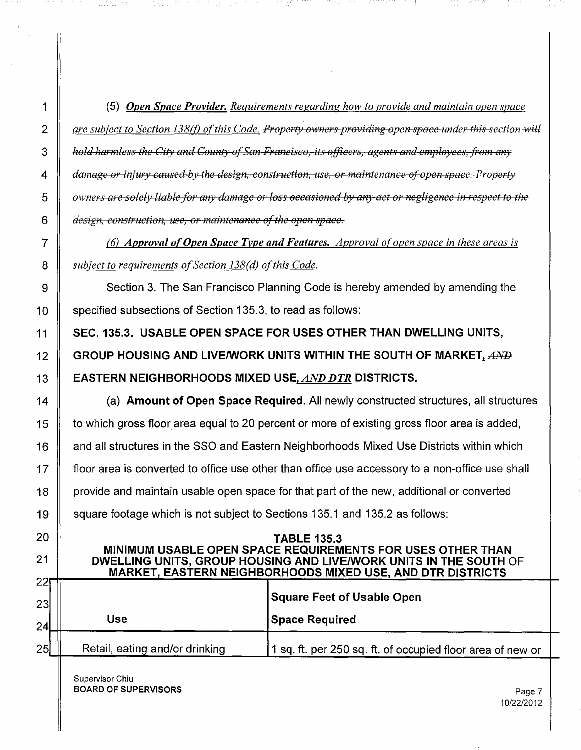|    | (5) Open Space Provider. Requirements regarding how to provide and maintain open space                                                                |  |  |  |  |  |
|----|-------------------------------------------------------------------------------------------------------------------------------------------------------|--|--|--|--|--|
|    | are subject to Section 138(f) of this Code. Property owners providing open space-under this section will                                              |  |  |  |  |  |
|    | hold harmless the City and County of San-Francisco,-its officers, agents and employees, from any                                                      |  |  |  |  |  |
|    | damage or injury caused by the design, construction, use, or maintenance of open space. Property                                                      |  |  |  |  |  |
|    | owners are solely liable for any damage or loss occasioned by any act or negligence in respect to the                                                 |  |  |  |  |  |
|    | design, construction, use, or maintenance of the open space.                                                                                          |  |  |  |  |  |
|    | (6) Approval of Open Space Type and Features. Approval of open space in these areas is                                                                |  |  |  |  |  |
|    | subject to requirements of Section 138(d) of this Code.                                                                                               |  |  |  |  |  |
|    | Section 3. The San Francisco Planning Code is hereby amended by amending the                                                                          |  |  |  |  |  |
|    | specified subsections of Section 135.3, to read as follows:                                                                                           |  |  |  |  |  |
|    | SEC. 135.3. USABLE OPEN SPACE FOR USES OTHER THAN DWELLING UNITS,                                                                                     |  |  |  |  |  |
|    | GROUP HOUSING AND LIVE/WORK UNITS WITHIN THE SOUTH OF MARKET, $A\rightarrow B$                                                                        |  |  |  |  |  |
|    | <b>EASTERN NEIGHBORHOODS MIXED USE, AND DTR DISTRICTS.</b>                                                                                            |  |  |  |  |  |
| 14 | (a) Amount of Open Space Required. All newly constructed structures, all structures                                                                   |  |  |  |  |  |
| 15 | to which gross floor area equal to 20 percent or more of existing gross floor area is added,                                                          |  |  |  |  |  |
| 16 | and all structures in the SSO and Eastern Neighborhoods Mixed Use Districts within which                                                              |  |  |  |  |  |
|    | floor area is converted to office use other than office use accessory to a non-office use shall                                                       |  |  |  |  |  |
| 18 | provide and maintain usable open space for that part of the new, additional or converted                                                              |  |  |  |  |  |
| 19 | square footage which is not subject to Sections 135.1 and 135.2 as follows:                                                                           |  |  |  |  |  |
| 20 | <b>TABLE 135.3</b><br>MINIMUM USABLE OPEN SPACE REQUIREMENTS FOR USES OTHER THAN<br>DWELLING UNITS, GROUP HOUSING AND LIVE/WORK UNITS IN THE SOUTH OF |  |  |  |  |  |
| 22 | <b>MARKET, EASTERN NEIGHBORHOODS MIXED USE, AND DTR DISTRICTS</b>                                                                                     |  |  |  |  |  |
| 23 | <b>Square Feet of Usable Open</b><br><b>Use</b>                                                                                                       |  |  |  |  |  |
| 24 | <b>Space Required</b>                                                                                                                                 |  |  |  |  |  |
| 25 | Retail, eating and/or drinking<br>1 sq. ft. per 250 sq. ft. of occupied floor area of new or                                                          |  |  |  |  |  |

Supervisor Chiu **BOARD OF SUPERVISORS** Page 7

and the

 $\mathbb{C}$  $\mathcal{V}$ 

 $\bar{p}$ 

A. Generation and Colorad Management

 $\langle A \rangle$  . For

ning kom<mark>wentha</mark> (1995) ng 1200 ng Topong

나온스레 대신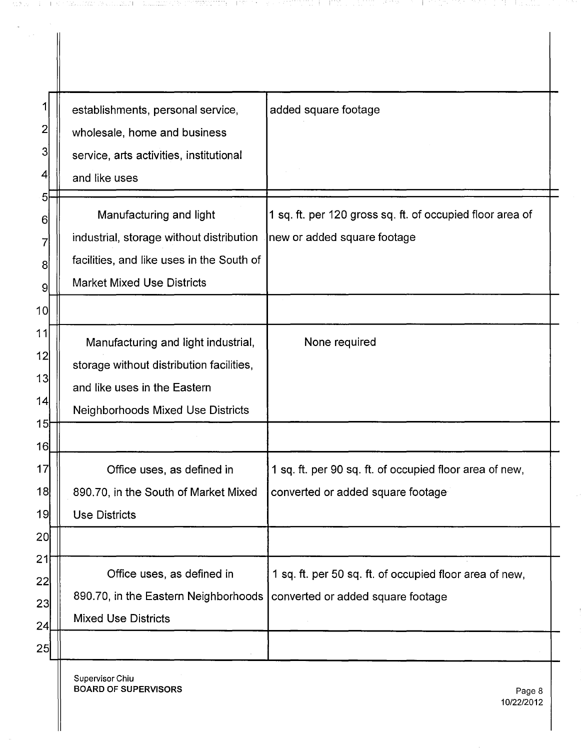|    | establishments, personal service,         | added square footage                                      |
|----|-------------------------------------------|-----------------------------------------------------------|
| 2  | wholesale, home and business              |                                                           |
| 3  | service, arts activities, institutional   |                                                           |
| 4  | and like uses                             |                                                           |
| 5  |                                           |                                                           |
| 6  | Manufacturing and light                   | 1 sq. ft. per 120 gross sq. ft. of occupied floor area of |
|    | industrial, storage without distribution  | new or added square footage                               |
| 8  | facilities, and like uses in the South of |                                                           |
| 9  | <b>Market Mixed Use Districts</b>         |                                                           |
| 10 |                                           |                                                           |
| 11 | Manufacturing and light industrial,       | None required                                             |
| 12 | storage without distribution facilities,  |                                                           |
| 13 | and like uses in the Eastern              |                                                           |
| 14 | <b>Neighborhoods Mixed Use Districts</b>  |                                                           |
| 15 |                                           |                                                           |
| 16 |                                           |                                                           |
| 17 | Office uses, as defined in                | 1 sq. ft. per 90 sq. ft. of occupied floor area of new,   |
| 18 | 890.70, in the South of Market Mixed      | converted or added square footage                         |
| 19 | <b>Use Districts</b>                      |                                                           |
| 2이 |                                           |                                                           |
| 21 |                                           |                                                           |
| 22 | Office uses, as defined in                | 1 sq. ft. per 50 sq. ft. of occupied floor area of new,   |
| 23 | 890.70, in the Eastern Neighborhoods      | converted or added square footage                         |
| 24 | <b>Mixed Use Districts</b>                |                                                           |
| 25 |                                           |                                                           |

are a coordinate request commence in the coordinate constitution of the control of the coordinate conditional t

Supervisor Chiu BOARD OF SUPERVISORS Page 8

 $\hat{\mathcal{A}}$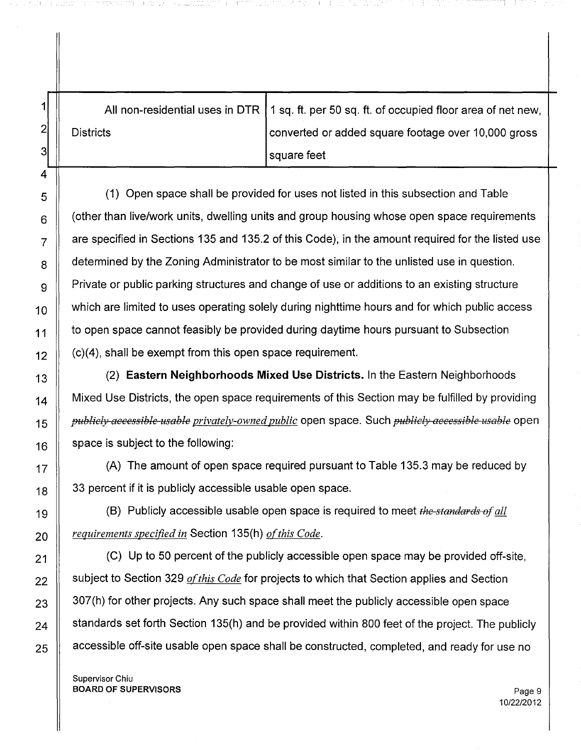|                  | All non-residential uses in DTR   1 sq. ft. per 50 sq. ft. of occupied floor area of net new, |
|------------------|-----------------------------------------------------------------------------------------------|
| <b>Districts</b> | converted or added square footage over 10,000 gross                                           |
|                  | square feet                                                                                   |

 $\vert 5 \vert$  (1) Open space shall be provided for uses not listed in this subsection and Table  $6 \parallel$  (other than live/work units, dwelling units and group housing whose open space requirements  $7 \parallel$  are specified in Sections 135 and 135.2 of this Code); in the amount required for the listed use  $8 \parallel$  determined by the Zoning Administrator to be most similar to the unlisted use in question.  $\mathbf{g}$  | Private or public parking structures and change of use or additions to an existing structure  $_{10}$   $\parallel$  which are limited to uses operating solely during nighttime hours and for which public access  $11 \parallel$  to open space cannot feasibly be provided during daytime hours pursuant to Subsection  $12$  (c)(4), shall be exempt from this open space requirement.

 (2) **Eastern Neighborhoods Mixed Use Districts.** In the Eastern Neighborhoods  $_{14}$  | Mixed Use Districts, the open space requirements of this Section may be fulfilled by providing *publicly accessible usable privately-owned public* open space. Such *publicly accessible usable* open space is subject to the following:

 $17$   $\parallel$  (A) The amount of open space required pursuant to Table 135.3 may be reduced by  $18$  33 percent if it is publicly accessible usable open space.

19  $\parallel$  (B) Publicly accessible usable open space is required to meet *the-standards of all* 20 *<u>Pequirements specified in</u>* Section 135(h) *of this Code.* 

 (C) Up to 50 percent of the publicly accessible open space may be provided off-site,  $\parallel$  subject to Section 329 *of this Code* for projects to which that Section applies and Section  $\parallel$  307(h) for other projects. Any such space shall meet the publicly accessible open space  $_{24}$  | standards set forth Section 135(h) and be provided within 800 feet of the project. The publicly  $\parallel$  accessible off-site usable open space shall be constructed, completed, and ready for use no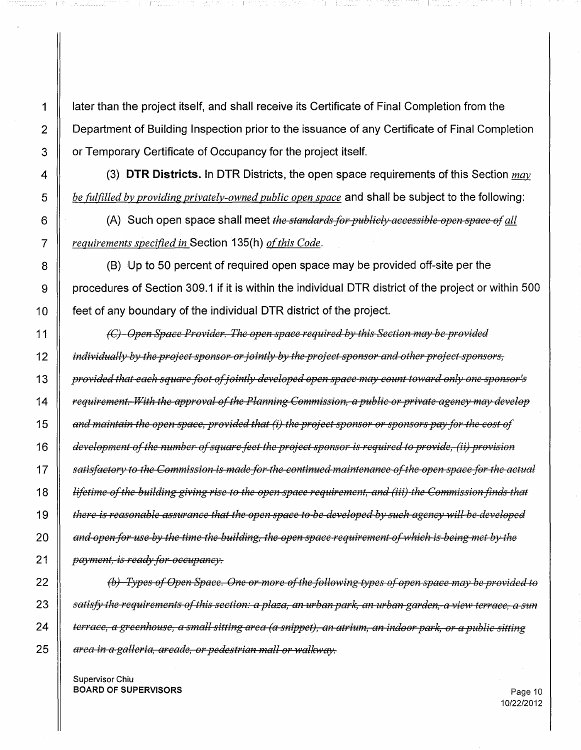1 | Iater than the project itself, and shall receive its Certificate of Final Completion from the **Department of Building Inspection prior to the issuance of any Certificate of Final Completion** 3 | or Temporary Certificate of Occupancy for the project itself.

 (3) **DTR Districts.** In DTR Districts, the open space requirements of this Section *may be fulfilled by providing privately-owned public open space* and shall be subject to the following:

 (A) Such open space shall meet *the standardsfor publicly accessible open space* &1*all requirements specified in* Section 135(h) *of this Code.* 

 (B) Up to 50 percent of required open space may be provided off-site per the 9 | procedures of Section 309.1 if it is within the individual DTR district of the project or within 500 feet of any boundary of the individual DTR district of the project.

*(C) Open Space Provider. The open space required by this Section may be provided indi',JiduEllly by t}w project sponsor orjointly by tlw project sponsor and other project sponsors, provided that each square foot o/jointly developed open spece mEl)' count toward only one sponsor's requirement. With the Elpproval a/the Pkmning Commission, a public or pri'vate agency may develop*  $\parallel$  and maintain the open space, provided that (i) the project sponsor or sponsors pay for the cost of *development aofthe number Gofsquare J+eet the project sponsor is required to pro'vide,* (iiJ *provision n*<sup>1</sup> *satisfactory to the Commission is made for the continued maintenance of the open space for the actual* **Follow** *Stephens of the building giving rise to the open space requirement, and (iii) the Commission finds that decree is reasonable assurance that the open space to be developed by such agency will be developed*  $\parallel$  and open for use by the time the building, the open space requirement of which is being met by the *payment, is ready for occupancy.* 

 *(b) Types &IOpen Space. One or more Goft.lze follo',ving types elopen space mElY be prOfJided to* 23 || satisfy the requirements of this section: a plaza, an urban park, an urban garden, a view terrace, a sun 24 || terrace, a greenhouse, a small sitting area (a snippet), an atrium, an indoor park, or a public sitting *area in a galleria, arcade, or pedestrian mall or walkway.*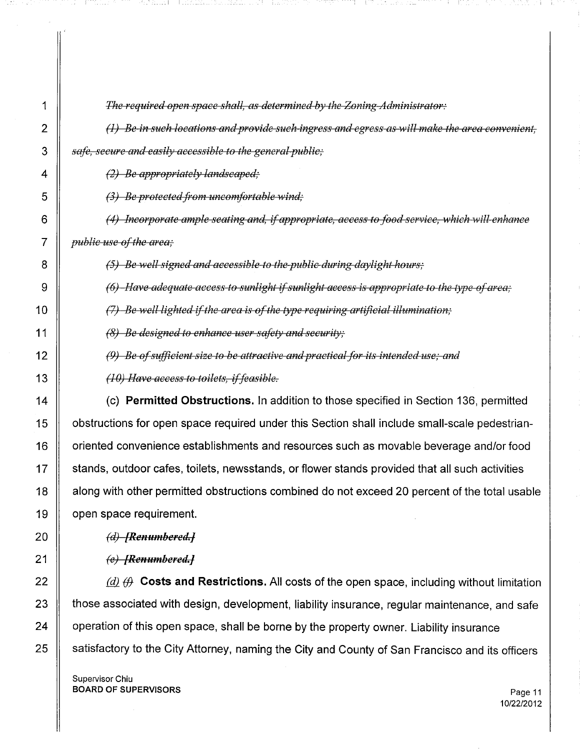| 1              | The required open space shall, as determined by the Zoning-Administrator:                        |
|----------------|--------------------------------------------------------------------------------------------------|
| $\overline{2}$ | $(1)$ Be in such locations and provide such ingress and egress as will make the area convenient, |
| 3              | safe, secure and easily accessible to the general public,                                        |
| 4              | $(2)$ Be appropriately landscaped;                                                               |
| 5              | $(3)$ Be protected from uncomfortable wind;                                                      |
| 6              | (4) Incorporate ample seating and, if appropriate, access to food service, which will enhance    |
| 7              | <i>public use of the area;</i>                                                                   |
| 8              | (5) Be well signed and accessible to the-public during daylight hours;                           |
| 9              | $(6)$ -Have adequate access to sunlight if sunlight access is appropriate to the type of area;   |
| 10             | $(7)$ Be well lighted if the area is of the type requiring artificial illumination;              |
| 11             | $(8)$ Be designed to enhance user safety and security;                                           |
| 12             | $(9)$ Be of sufficient size to be attractive and practical for its intended use; and             |
| 13             | $(10)$ Have access to toilets, if feasible.                                                      |
| 14             | (c) Permitted Obstructions. In addition to those specified in Section 136, permitted             |
| 15             | obstructions for open space required under this Section shall include small-scale pedestrian-    |
| 16             | oriented convenience establishments and resources such as movable beverage and/or food           |
| 17             | stands, outdoor cafes, toilets, newsstands, or flower stands provided that all such activities   |
| 18             | along with other permitted obstructions combined do not exceed 20 percent of the total usable    |
| 19             | open space requirement.                                                                          |
| 20             | $(d)$ -[Renumbered.]                                                                             |
| 21             | (e) [Renumbered.]                                                                                |
| 22             | $(d)$ $(d)$ Costs and Restrictions. All costs of the open space, including without limitation    |
| 23             | those associated with design, development, liability insurance, regular maintenance, and safe    |
| 24             | operation of this open space, shall be borne by the property owner. Liability insurance          |
| 25             | satisfactory to the City Attorney, naming the City and County of San Francisco and its officers  |
|                | Supervisor Chiu<br><b>BOARD OF SUPERVISORS</b><br>Page 11                                        |

المستحق والاستقلال والمناوب

ti.

ή,

upiy  $\gamma_{\rm{max}}$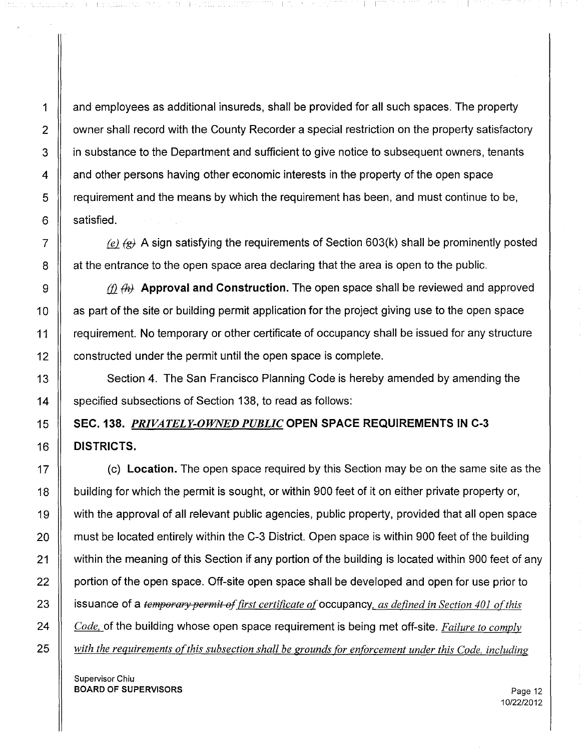1 and employees as additional insureds, shall be provided for all such spaces. The property 2 | owner shall record with the County Recorder a special restriction on the property satisfactory 3 **igns** in substance to the Department and sufficient to give notice to subsequent owners, tenants 4 and other persons having other economic interests in the property of the open space 5 T requirement and the means by which the requirement has been, and must continue to be,  $6 \parallel$  satisfied.

I THE REPORT OF A STRIP IN THE RESIDENCE OF A STRIP OF A STRIP OF A STRIP OF A STRIP OF A STRIP OF A STRIP OF A

7  $\parallel$  *(e)*  $\leftrightarrow$  A sign satisfying the requirements of Section 603(k) shall be prominently posted  $8 \parallel$  at the entrance to the open space area declaring that the area is open to the public.

 $\parallel$  *(f)*  $\parallel$  *A* Approval and Construction. The open space shall be reviewed and approved **as part of the site or building permit application for the project giving use to the open space** 11 Fequirement. No temporary or other certificate of occupancy shall be issued for any structure **constructed under the permit until the open space is complete.** 

13 Section 4. The San Francisco Planning Code is hereby amended by amending the 14 Specified subsections of Section 138, to read as follows:

# 15 SEC. 138. *PRIVATELY-OWNED PUBLIC* OPEN **SPACE REQUIREMENTS IN C-3** 16 **DISTRICTS.**

 (c) **Location.** The open space required by this Section may be on the same site as the 18 | building for which the permit is sought, or within 900 feet of it on either private property or, with the approval of all relevant public agencies, public property, provided that all open space  $\parallel$  must be located entirely within the C-3 District. Open space is within 900 feet of the building 21 | within the meaning of this Section if any portion of the building is located within 900 feet of any 22 | portion of the open space. Off-site open space shall be developed and open for use prior to issuance of a *temperarypermit a/first certificate of*occupancy, *as defined in Section 401 ofthis Code,* of the building whose open space requirement is being met off-site. *Failure to comply with the requirements ofthis subsection shall be grounds for enforcement under this Code, including*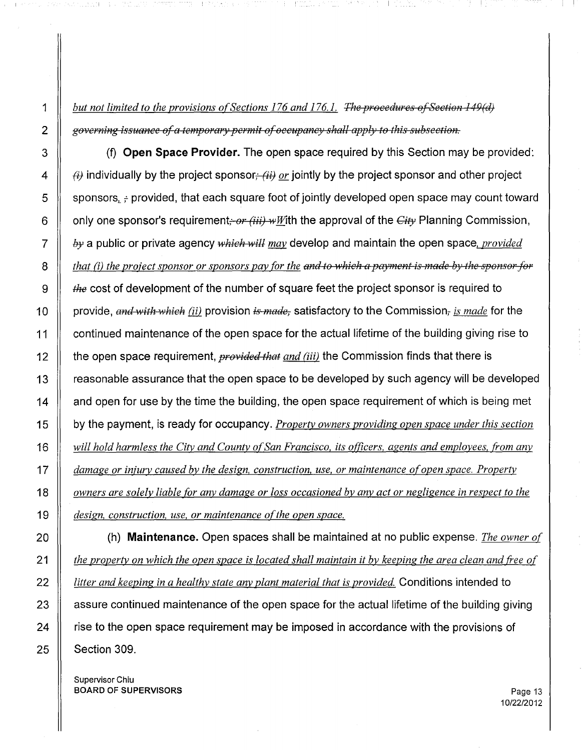1 *but not limited to the provisions ofSections* 176 *and* 176.1. *The procedures a/Section 149(d) 2 governing issuance ala temporery permit a/occupancy shell apply* to *this subsection.*

 (f) **Open Space Provider.** The open space required by this Section may be provided:  $\parallel$   $\leftrightarrow$  individually by the project sponsor<sub>i</sub>- $\leftrightarrow$  *or* jointly by the project sponsor and other project 5 Supponsors,  $\frac{1}{2}$  provided, that each square foot of jointly developed open space may count toward  $\parallel$  only one sponsor's requirement; *or (iii)*  $\cdot$ , with the approval of the *Gity* Planning Commission,  $\parallel$  *by* a public or private agency *which will may* develop and maintain the open space, *provided*  $\parallel$  that (i) the project sponsor or sponsors pay for the and to which a payment is made by the sponsor for the cost of development of the number of square feet the project sponsor is required to **provide**, and with which (ii) provision is made, satisfactory to the Commission, *is made* for the 11 | continued maintenance of the open space for the actual lifetime of the building giving rise to 12 | the open space requirement, *provided that and (iii)* the Commission finds that there is 13 | reasonable assurance that the open space to be developed by such agency will be developed  $\parallel$  and open for use by the time the building, the open space requirement of which is being met by the payment, is ready for occupancy. *Property owners providing open space under this section will hold harmless the City and County ofSan Francisco, its officers. agents and employees, from any damage or injury caused by the design, construction. use, or maintenance ofopen space. Property* 18 || owners are solely liable for any damage or loss occasioned by any act or negligence in respect to the *design. construction, use. or maintenance ofthe open space.*

 (h) **Maintenance.** Open spaces shall be maintained at no public expense. *The owner of*  $\parallel$  the property on which the open space is located shall maintain it by keeping the area clean and free of *litter and keeping in a healthy state any plant material that is provided.* Conditions intended to  $\parallel$  assure continued maintenance of the open space for the actual lifetime of the building giving 24 | rise to the open space requirement may be imposed in accordance with the provisions of | Section 309.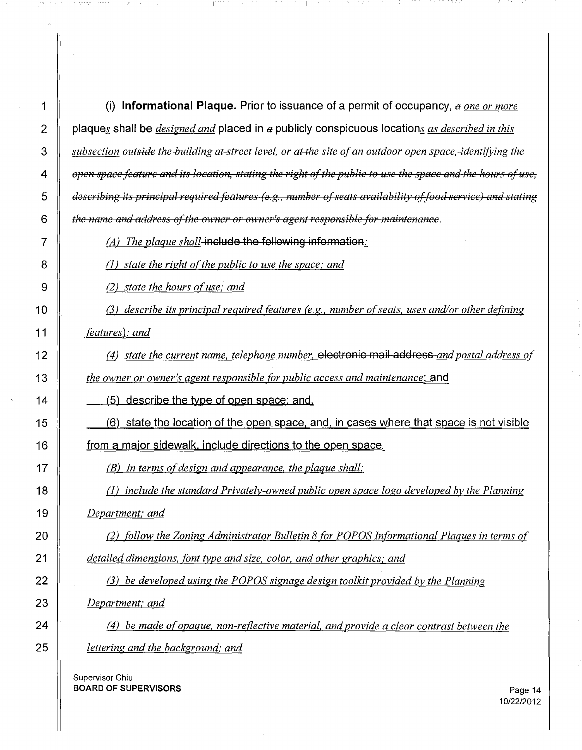1 (i) **Informational Plaque.** Prior to issuance of a permit of occupancy, a one or more 2 plagues shall be *designed and* placed in a publicly conspicuous locations as *described in this* 3 Subsection outside the building at street level, or at the site of an outdoor open space, identifying the  $4 \parallel$  open space feature and its location, stating the right of the public to use the space and the hours of use. *describing its principal requiredfeatures (e.g., number ofseats availabiUty offood ser'rice) and stating the name and address o./the owner or owner's agent responsible for maintenance.*

-14 - 5.35

**(A)** *The plaque shall*-include the following information:

(l) *state the right ofthe public to use the space; and*

(2) *state the hours ofuse; and*

veda in him yazar yang bila da a

 (3) *describe its principal required features (e.g., number ofseats, uses and/or other defining featuresl; and*

(4) *state the current name, telephone number,* electronic mail address *and postal address of*

*the owner or owner's agent responsible for public access and maintenance:* and

 $\parallel$   $\quad \quad \_$  (5) describe the type of open space; and,

 (6) state the location of the open space. and. in cases where that space is not visible **from a major sidewalk, include directions to the open space.** 

(B) *In terms ofdesign and appearance, the plaque shall:*

 (l) *include the standard Privately-owned public open space logo developed by the Planning Department; and*

 (2) *follow the Zoning Administrator Bulletin* 8 *for* papas *Informational Plaques in terms of detailed dimensions, font type and size, color, and other graphics; and*

22 (3) *be developed using the POPOS signage design toolkit provided by the Planning Department; and*

 (4) *be made ofopaque, non-reflective material, and provide a clear contrast between the lettering and the background.' and*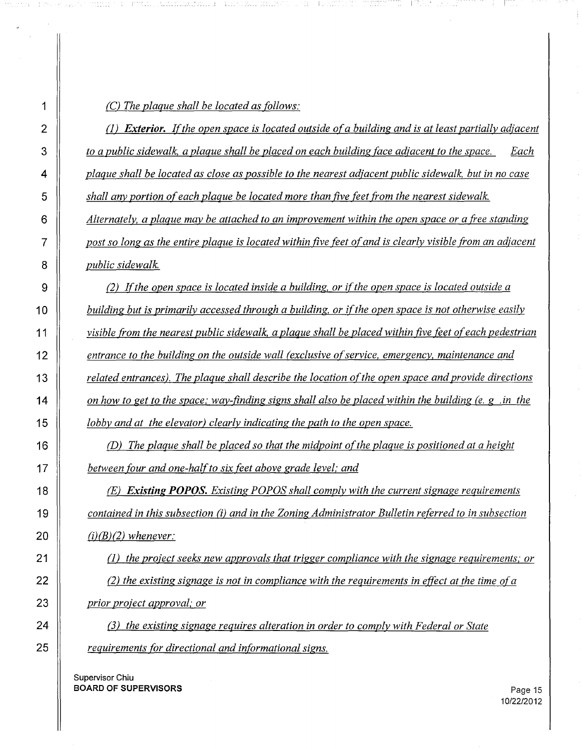|  |  |  |  | (C) The plaque shall be located as follows: |
|--|--|--|--|---------------------------------------------|
|  |  |  |  |                                             |

*(1) Exterior. Ifthe open space is located outside ofa building and is at least partially adjacent to a public sidewalk. a plaque shall be placed on each building face adjacent to the space.* Each 4 | plaque shall be located as close as possible to the nearest adjacent public sidewalk, but in no case *shall any portion ofeach plaque be located more than five feet from the nearest sidewalk. Alternately, a plaque may be attached to an improvement within the open space or a free standing* 7 | post so long as the entire plaque is located within five feet of and is clearly visible from an adjacent *public sidewalk.*

 (2) *Ifthe open space is located inside a building, or ifthe open space is located outside a building but is primarily accessed through a building, or ifthe open space is not otherwise easily visible from the nearest public sidewalk, a plaque shall be placed within five feet ofeach pedestrian entrance to the building on the outside wall (exclusive ofservice. emergency, maintenance and related entrances). The plaque shall describe the location ofthe open space and provide directions* 14 on how to get to the space; way-finding signs shall also be placed within the building (e. g. in the *lobby and at the elevator) clearly indicating the path to the open space.*

 *(D) The plaque shall be placed so that the midpoint ofthe plaque is positioned at a height between four and one-halfto six feet above grade level; and*

 *(E) Existing POPOS. Existing POPOS shall comply with the current signage requirements contained in this subsection* (i) *and in the Zoning Administrator Bulletin referred to in subsection (i)(B)(2) whenever:*

 (n *the project seeks new approvals that trigger compliance with the signage requirements; or* (2) *the existing signage is not in compliance with the requirements in effect at the time ofa prior project approval,' or*

 (3) *the existing signage requires alteration in order to comply with Federal or State requirements for directional and informational signs.*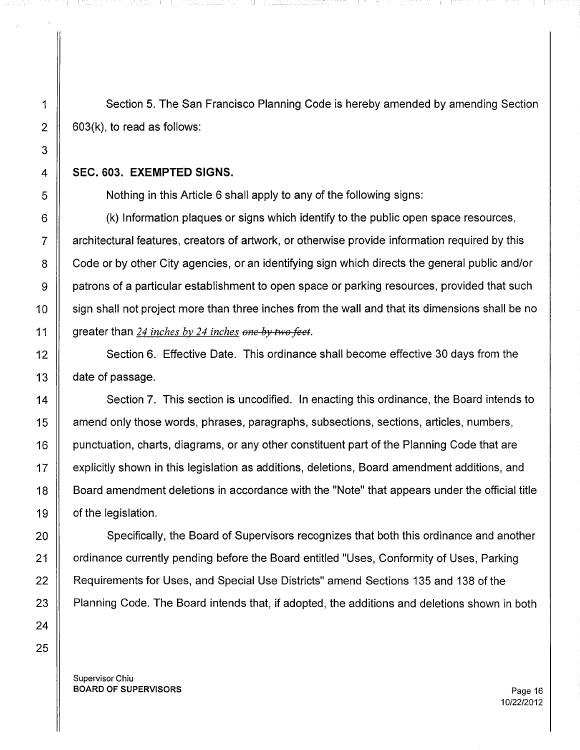1 Section 5. The San Francisco Planning Code is hereby amended by amending Section  $2 \parallel 603(k)$ , to read as follows:

## 4 **SEC. 603. EXEMPTED SIGNS.**

5 Nothing in this Article 6 shall apply to any of the following signs:

6  $\parallel$  (k) Information plaques or signs which identify to the public open space resources,  $7 \parallel$  architectural features, creators of artwork, or otherwise provide information required by this 8 Code or by other City agencies, or an identifying sign which directs the general public and/or 9 **e** patrons of a particular establishment to open space or parking resources, provided that such 10 | sign shall not project more than three inches from the wall and that its dimensions shall be no 11 greater than 24 *inches by* 24 *inches one by two feet.*

12 Section 6. Effective Date. This ordinance shall become effective 30 days from the 13  $\parallel$  date of passage.

 Section 7. This section is uncodified. **In** enacting this ordinance, the Board intends to 15 | amend only those words, phrases, paragraphs, subsections, sections, articles, numbers, 16 punctuation, charts, diagrams, or any other constituent part of the Planning Code that are explicitly shown in this legislation as additions, deletions, Board amendment additions, and Board amendment deletions in accordance with the "Note" that appears under the official title | of the legislation.

20 Specifically, the Board of Supervisors recognizes that both this ordinance and another 21 | ordinance currently pending before the Board entitled "Uses, Conformity of Uses, Parking 22 | Requirements for Uses, and Special Use Districts" amend Sections 135 and 138 of the 23 | Planning Code. The Board intends that, if adopted, the additions and deletions shown in both

Supervisor Chiu BOARD OF SUPERVISORS **Page 16**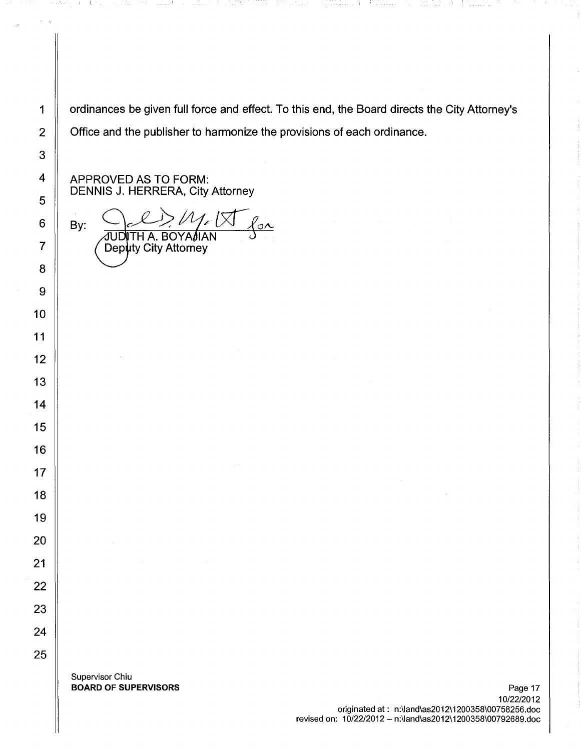1 | ordinances be given full force and effect. To this end, the Board directs the City Attorney's 2 Cffice and the publisher to harmonize the provisions of each ordinance.

APPROVED AS TO FORM: DENNIS J. HERRERA, City Attorney

il\_

 $M_{\nu}$  $\frac{2}{\circ}$ By: JUDITH A. BOYA $\ell$ IAN Deputy City Attorney

Supervisor Chiu